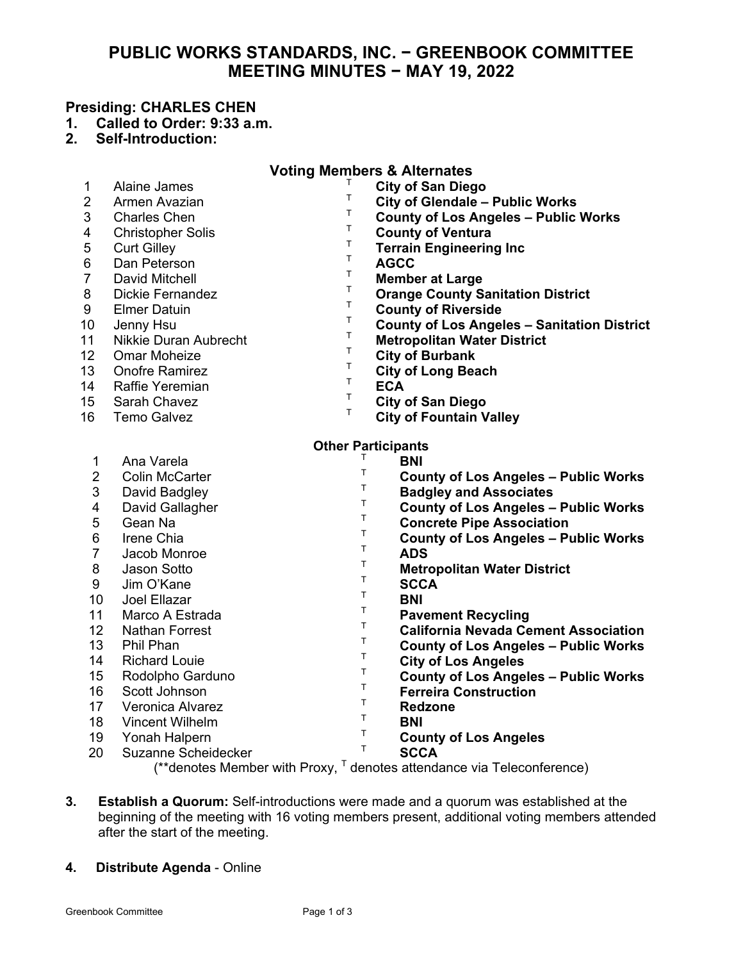# **PUBLIC WORKS STANDARDS, INC. − GREENBOOK COMMITTEE MEETING MINUTES − MAY 19, 2022**

# **Presiding: CHARLES CHEN**

- **1. Called to Order: 9:33 a.m.**
- **2. Self-Introduction:**

| <b>Voting Members &amp; Alternates</b> |                          |              |                                                    |
|----------------------------------------|--------------------------|--------------|----------------------------------------------------|
| 1                                      | <b>Alaine James</b>      | Τ            | <b>City of San Diego</b>                           |
| 2                                      | Armen Avazian            | Τ            | <b>City of Glendale - Public Works</b>             |
| 3                                      | <b>Charles Chen</b>      | Т            | <b>County of Los Angeles - Public Works</b>        |
| 4                                      | <b>Christopher Solis</b> | T.           | <b>County of Ventura</b>                           |
| 5                                      | <b>Curt Gilley</b>       | T            | <b>Terrain Engineering Inc</b>                     |
| 6                                      | Dan Peterson             | T            | <b>AGCC</b>                                        |
| $\overline{7}$                         | David Mitchell           | Τ            | <b>Member at Large</b>                             |
| 8                                      | <b>Dickie Fernandez</b>  | T.           | <b>Orange County Sanitation District</b>           |
| 9                                      | <b>Elmer Datuin</b>      | T            | <b>County of Riverside</b>                         |
| 10                                     | Jenny Hsu                | Т            | <b>County of Los Angeles - Sanitation District</b> |
| 11                                     | Nikkie Duran Aubrecht    | T            | <b>Metropolitan Water District</b>                 |
| 12                                     | <b>Omar Moheize</b>      | T            | <b>City of Burbank</b>                             |
| 13                                     | <b>Onofre Ramirez</b>    | T            | <b>City of Long Beach</b>                          |
| 14                                     | Raffie Yeremian          | T.           | <b>ECA</b>                                         |
| 15                                     | Sarah Chavez             | T            | <b>City of San Diego</b>                           |
| 16                                     | <b>Temo Galvez</b>       | T.           | <b>City of Fountain Valley</b>                     |
|                                        |                          |              |                                                    |
| Other Participants                     |                          |              |                                                    |
| $\mathbf 1$                            | Ana Varela               | T            | BNI                                                |
| $\overline{2}$                         | <b>Colin McCarter</b>    | T.           | <b>County of Los Angeles - Public Works</b>        |
| 3                                      | David Badgley            | T            | <b>Badgley and Associates</b>                      |
| $\overline{\mathbf{4}}$                | David Gallagher          | $\mathsf T$  | <b>County of Los Angeles - Public Works</b>        |
| 5                                      | Gean Na                  | T            | <b>Concrete Pipe Association</b>                   |
| 6                                      | Irene Chia               | Τ            | <b>County of Los Angeles - Public Works</b>        |
| $\overline{7}$                         | Jacob Monroe             | Т            | <b>ADS</b>                                         |
| 8                                      | Jason Sotto              | T            | <b>Metropolitan Water District</b>                 |
| 9                                      | Jim O'Kane               | Т            | <b>SCCA</b>                                        |
| 10                                     | Joel Ellazar             | $\sf T$      | <b>BNI</b>                                         |
| 11                                     | Marco A Estrada          | $\mathsf T$  | <b>Pavement Recycling</b>                          |
| 12                                     | <b>Nathan Forrest</b>    | $\mathsf{T}$ | <b>California Nevada Cement Association</b>        |
| 13                                     | Phil Phan                | T            | <b>County of Los Angeles - Public Works</b>        |
| 14                                     | <b>Richard Louie</b>     | Τ            | <b>City of Los Angeles</b>                         |
| 15                                     | Rodolpho Garduno         | Τ            | <b>County of Los Angeles - Public Works</b>        |
| 16                                     | Scott Johnson            | Τ            | <b>Ferreira Construction</b>                       |
| 17                                     | Veronica Alvarez         | $\mathsf{T}$ | <b>Redzone</b>                                     |
| 18                                     | Vincent Wilhelm          | T            | BNI                                                |
| 19                                     | Yonah Halpern            | T            | <b>County of Los Angeles</b>                       |
| 20                                     | Suzanne Scheidecker      | $T$ .        | <b>SCCA</b>                                        |

 $(*$ <sup>\*</sup>denotes Member with Proxy,  $\mathsf{F}$  denotes attendance via Teleconference)

- **3. Establish a Quorum:** Self-introductions were made and a quorum was established at the beginning of the meeting with 16 voting members present, additional voting members attended after the start of the meeting.
- **4. Distribute Agenda**  Online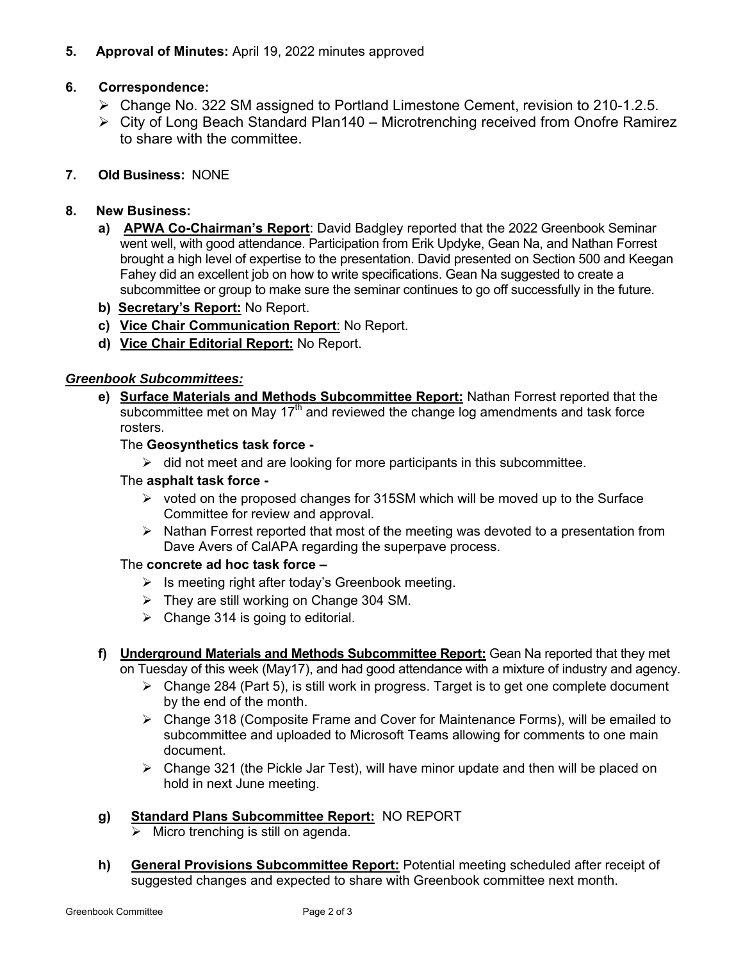## **5. Approval of Minutes:** April 19, 2022 minutes approved

# **6. Correspondence:**

- Change No. 322 SM assigned to Portland Limestone Cement, revision to 210-1.2.5.
- City of Long Beach Standard Plan140 Microtrenching received from Onofre Ramirez to share with the committee.

## **7. Old Business:** NONE

## **8. New Business:**

- **a) APWA Co-Chairman's Report**: David Badgley reported that the 2022 Greenbook Seminar went well, with good attendance. Participation from Erik Updyke, Gean Na, and Nathan Forrest brought a high level of expertise to the presentation. David presented on Section 500 and Keegan Fahey did an excellent job on how to write specifications. Gean Na suggested to create a subcommittee or group to make sure the seminar continues to go off successfully in the future.
- **b) Secretary's Report:** No Report.
- **c) Vice Chair Communication Report**: No Report.
- **d) Vice Chair Editorial Report:** No Report.

## *Greenbook Subcommittees:*

**e) Surface Materials and Methods Subcommittee Report:** Nathan Forrest reported that the subcommittee met on May 17<sup>th</sup> and reviewed the change log amendments and task force rosters.

## The **Geosynthetics task force -**

 $\triangleright$  did not meet and are looking for more participants in this subcommittee.

### The **asphalt task force -**

- $\triangleright$  voted on the proposed changes for 315SM which will be moved up to the Surface Committee for review and approval.
- $\triangleright$  Nathan Forrest reported that most of the meeting was devoted to a presentation from Dave Avers of CalAPA regarding the superpave process.

#### The **concrete ad hoc task force –**

- $\triangleright$  Is meeting right after today's Greenbook meeting.
- They are still working on Change 304 SM.
- $\triangleright$  Change 314 is going to editorial.
- **f) Underground Materials and Methods Subcommittee Report:** Gean Na reported that they met on Tuesday of this week (May17), and had good attendance with a mixture of industry and agency.
	- $\triangleright$  Change 284 (Part 5), is still work in progress. Target is to get one complete document by the end of the month.
	- $\triangleright$  Change 318 (Composite Frame and Cover for Maintenance Forms), will be emailed to subcommittee and uploaded to Microsoft Teams allowing for comments to one main document.
	- $\triangleright$  Change 321 (the Pickle Jar Test), will have minor update and then will be placed on hold in next June meeting.

## **g) Standard Plans Subcommittee Report:** NO REPORT

- Micro trenching is still on agenda.
- **h) General Provisions Subcommittee Report:** Potential meeting scheduled after receipt of suggested changes and expected to share with Greenbook committee next month.